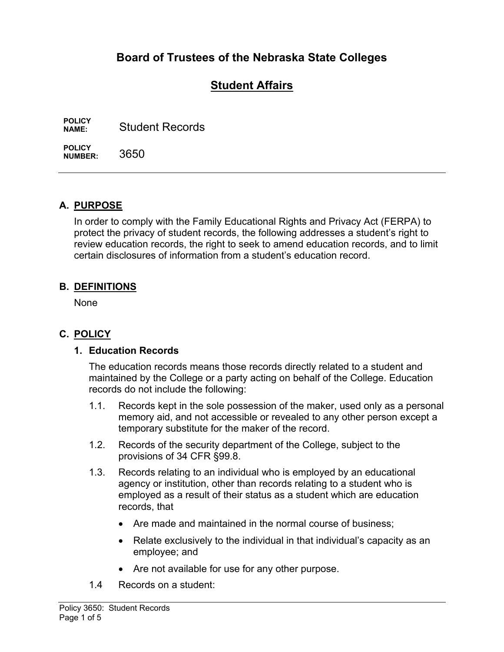# **Board of Trustees of the Nebraska State Colleges**

# **Student Affairs**

**POLICY Student Records** 

**POLICY NUMBER:** 3650

## **A. PURPOSE**

In order to comply with the Family Educational Rights and Privacy Act (FERPA) to protect the privacy of student records, the following addresses a student's right to review education records, the right to seek to amend education records, and to limit certain disclosures of information from a student's education record.

#### **B. DEFINITIONS**

None

## **C. POLICY**

#### **1. Education Records**

The education records means those records directly related to a student and maintained by the College or a party acting on behalf of the College. Education records do not include the following:

- 1.1. Records kept in the sole possession of the maker, used only as a personal memory aid, and not accessible or revealed to any other person except a temporary substitute for the maker of the record.
- 1.2. Records of the security department of the College, subject to the provisions of 34 CFR §99.8.
- 1.3. Records relating to an individual who is employed by an educational agency or institution, other than records relating to a student who is employed as a result of their status as a student which are education records, that
	- Are made and maintained in the normal course of business:
	- Relate exclusively to the individual in that individual's capacity as an employee; and
	- Are not available for use for any other purpose.
- 1.4 Records on a student: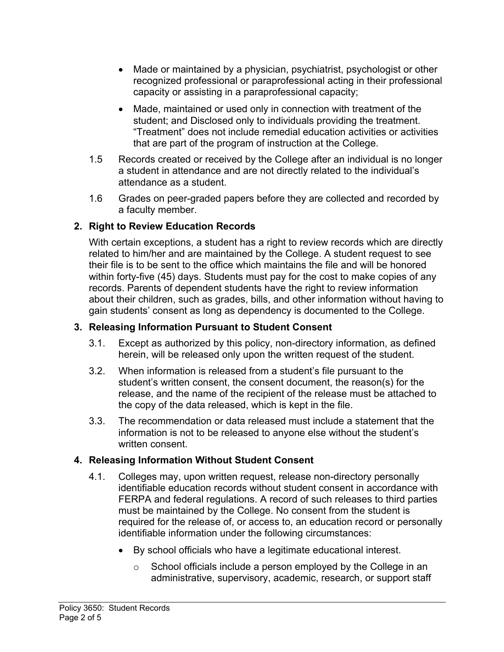- Made or maintained by a physician, psychiatrist, psychologist or other recognized professional or paraprofessional acting in their professional capacity or assisting in a paraprofessional capacity;
- Made, maintained or used only in connection with treatment of the student; and Disclosed only to individuals providing the treatment. "Treatment" does not include remedial education activities or activities that are part of the program of instruction at the College.
- 1.5 Records created or received by the College after an individual is no longer a student in attendance and are not directly related to the individual's attendance as a student.
- 1.6 Grades on peer-graded papers before they are collected and recorded by a faculty member.

## **2. Right to Review Education Records**

With certain exceptions, a student has a right to review records which are directly related to him/her and are maintained by the College. A student request to see their file is to be sent to the office which maintains the file and will be honored within forty-five (45) days. Students must pay for the cost to make copies of any records. Parents of dependent students have the right to review information about their children, such as grades, bills, and other information without having to gain students' consent as long as dependency is documented to the College.

#### **3. Releasing Information Pursuant to Student Consent**

- 3.1. Except as authorized by this policy, non-directory information, as defined herein, will be released only upon the written request of the student.
- 3.2. When information is released from a student's file pursuant to the student's written consent, the consent document, the reason(s) for the release, and the name of the recipient of the release must be attached to the copy of the data released, which is kept in the file.
- 3.3. The recommendation or data released must include a statement that the information is not to be released to anyone else without the student's written consent.

## **4. Releasing Information Without Student Consent**

- 4.1. Colleges may, upon written request, release non-directory personally identifiable education records without student consent in accordance with FERPA and federal regulations. A record of such releases to third parties must be maintained by the College. No consent from the student is required for the release of, or access to, an education record or personally identifiable information under the following circumstances:
	- By school officials who have a legitimate educational interest.
		- o School officials include a person employed by the College in an administrative, supervisory, academic, research, or support staff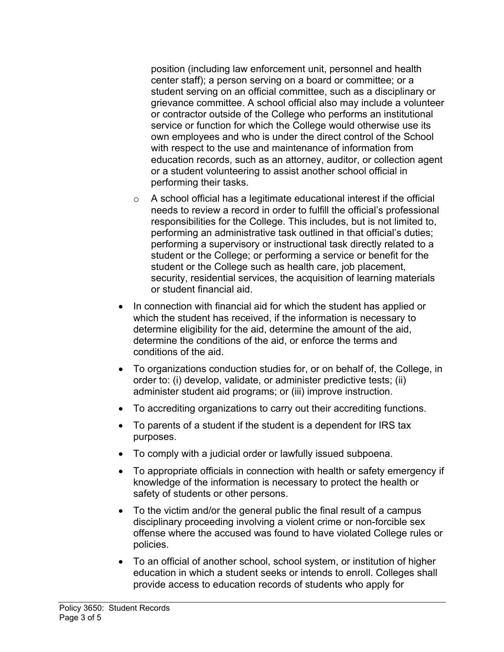position (including law enforcement unit, personnel and health center staff); a person serving on a board or committee; or a student serving on an official committee, such as a disciplinary or grievance committee. A school official also may include a volunteer or contractor outside of the College who performs an institutional service or function for which the College would otherwise use its own employees and who is under the direct control of the School with respect to the use and maintenance of information from education records, such as an attorney, auditor, or collection agent or a student volunteering to assist another school official in performing their tasks.

- o A school official has a legitimate educational interest if the official needs to review a record in order to fulfill the official's professional responsibilities for the College. This includes, but is not limited to, performing an administrative task outlined in that official's duties; performing a supervisory or instructional task directly related to a student or the College; or performing a service or benefit for the student or the College such as health care, job placement, security, residential services, the acquisition of learning materials or student financial aid.
- In connection with financial aid for which the student has applied or which the student has received, if the information is necessary to determine eligibility for the aid, determine the amount of the aid, determine the conditions of the aid, or enforce the terms and conditions of the aid.
- To organizations conduction studies for, or on behalf of, the College, in order to: (i) develop, validate, or administer predictive tests; (ii) administer student aid programs; or (iii) improve instruction.
- To accrediting organizations to carry out their accrediting functions.
- To parents of a student if the student is a dependent for IRS tax purposes.
- To comply with a judicial order or lawfully issued subpoena.
- To appropriate officials in connection with health or safety emergency if knowledge of the information is necessary to protect the health or safety of students or other persons.
- To the victim and/or the general public the final result of a campus disciplinary proceeding involving a violent crime or non-forcible sex offense where the accused was found to have violated College rules or policies.
- To an official of another school, school system, or institution of higher education in which a student seeks or intends to enroll. Colleges shall provide access to education records of students who apply for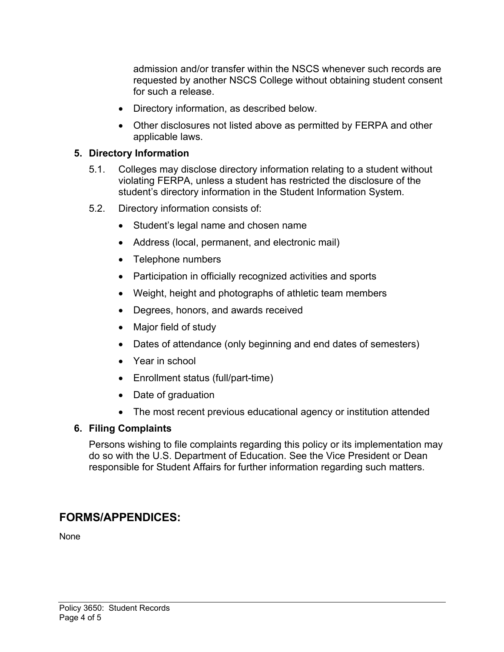admission and/or transfer within the NSCS whenever such records are requested by another NSCS College without obtaining student consent for such a release.

- Directory information, as described below.
- Other disclosures not listed above as permitted by FERPA and other applicable laws.

#### **5. Directory Information**

- 5.1. Colleges may disclose directory information relating to a student without violating FERPA, unless a student has restricted the disclosure of the student's directory information in the Student Information System.
- 5.2. Directory information consists of:
	- Student's legal name and chosen name
	- Address (local, permanent, and electronic mail)
	- Telephone numbers
	- Participation in officially recognized activities and sports
	- Weight, height and photographs of athletic team members
	- Degrees, honors, and awards received
	- Major field of study
	- Dates of attendance (only beginning and end dates of semesters)
	- Year in school
	- Enrollment status (full/part-time)
	- Date of graduation
	- The most recent previous educational agency or institution attended

#### **6. Filing Complaints**

Persons wishing to file complaints regarding this policy or its implementation may do so with the U.S. Department of Education. See the Vice President or Dean responsible for Student Affairs for further information regarding such matters.

# **FORMS/APPENDICES:**

None